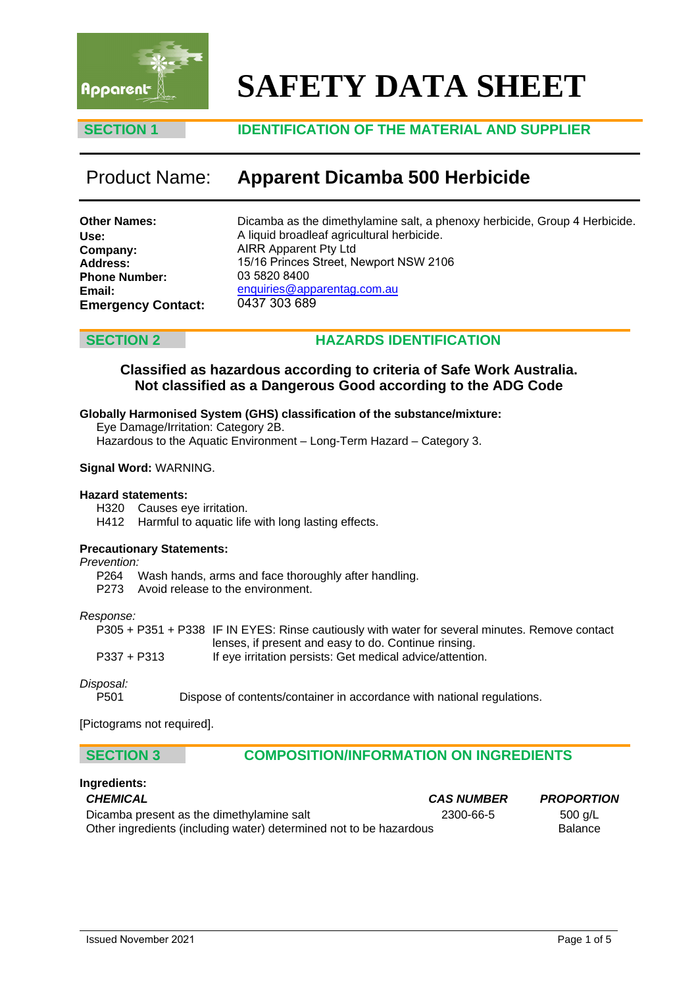

# **SAFETY DATA SHEET**

### **SECTION 1 IDENTIFICATION OF THE MATERIAL AND SUPPLIER**

## Product Name: **Apparent Dicamba 500 Herbicide**

| <b>Other Names:</b>       |  |
|---------------------------|--|
| Use:                      |  |
| Company:                  |  |
| <b>Address:</b>           |  |
| <b>Phone Number:</b>      |  |
| Email:                    |  |
| <b>Emergency Contact:</b> |  |

Dicamba as the dimethylamine salt, a phenoxy herbicide, Group 4 Herbicide. A liquid broadleaf agricultural herbicide. AIRR Apparent Pty Ltd 15/16 Princes Street, Newport NSW 2106 03 5820 8400 enquiries@apparentag.com.au 0437 303 689

### **SECTION 2 HAZARDS IDENTIFICATION**

### **Classified as hazardous according to criteria of Safe Work Australia. Not classified as a Dangerous Good according to the ADG Code**

### **Globally Harmonised System (GHS) classification of the substance/mixture:**

Eye Damage/Irritation: Category 2B.

Hazardous to the Aquatic Environment – Long-Term Hazard – Category 3.

### **Signal Word:** WARNING.

### **Hazard statements:**

H320 Causes eye irritation.

H412 Harmful to aquatic life with long lasting effects.

### **Precautionary Statements:**

*Prevention:* 

P264 Wash hands, arms and face thoroughly after handling.

P273 Avoid release to the environment.

### *Response:*

P305 + P351 + P338 IF IN EYES: Rinse cautiously with water for several minutes. Remove contact lenses, if present and easy to do. Continue rinsing. P337 + P313 If eye irritation persists: Get medical advice/attention.

*Disposal:* 

P501 Dispose of contents/container in accordance with national regulations.

[Pictograms not required].

### **SECTION 3 COMPOSITION/INFORMATION ON INGREDIENTS**

### **Ingredients:**

| <b>CHEMICAL</b>                                                    | <b>CAS NUMBER</b> | <b>PROPORTION</b> |
|--------------------------------------------------------------------|-------------------|-------------------|
| Dicamba present as the dimethylamine salt                          | 2300-66-5         | 500 g/L           |
| Other ingredients (including water) determined not to be hazardous |                   | <b>Balance</b>    |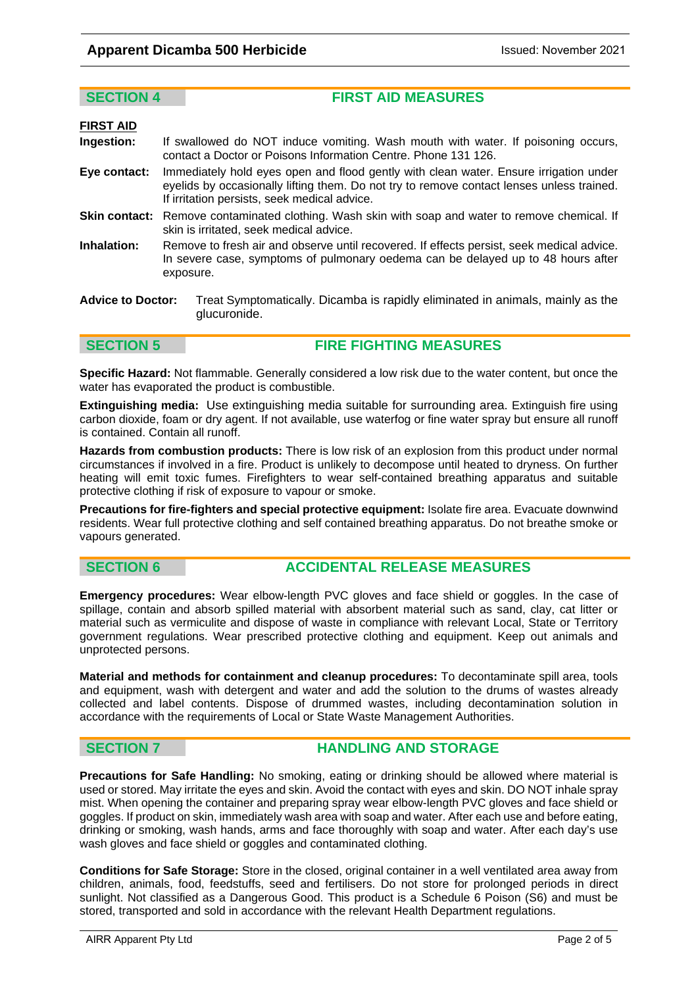glucuronide.

**SECTION 4 FIRST AID MEASURES** 

| <b>FIRST AID</b>         |                                                                                                                                                                                                                                    |
|--------------------------|------------------------------------------------------------------------------------------------------------------------------------------------------------------------------------------------------------------------------------|
| Ingestion:               | If swallowed do NOT induce vomiting. Wash mouth with water. If poisoning occurs,<br>contact a Doctor or Poisons Information Centre. Phone 131 126.                                                                                 |
| Eye contact:             | Immediately hold eyes open and flood gently with clean water. Ensure irrigation under<br>eyelids by occasionally lifting them. Do not try to remove contact lenses unless trained.<br>If irritation persists, seek medical advice. |
|                          | <b>Skin contact:</b> Remove contaminated clothing. Wash skin with soap and water to remove chemical. If<br>skin is irritated, seek medical advice.                                                                                 |
| Inhalation:              | Remove to fresh air and observe until recovered. If effects persist, seek medical advice.<br>In severe case, symptoms of pulmonary oedema can be delayed up to 48 hours after<br>exposure.                                         |
| <b>Advice to Doctor:</b> | Treat Symptomatically. Dicamba is rapidly eliminated in animals, mainly as the                                                                                                                                                     |

**SECTION 5** FIRE FIGHTING MEASURES

**Specific Hazard:** Not flammable. Generally considered a low risk due to the water content, but once the water has evaporated the product is combustible.

**Extinguishing media:** Use extinguishing media suitable for surrounding area. Extinguish fire using carbon dioxide, foam or dry agent. If not available, use waterfog or fine water spray but ensure all runoff is contained. Contain all runoff.

**Hazards from combustion products:** There is low risk of an explosion from this product under normal circumstances if involved in a fire. Product is unlikely to decompose until heated to dryness. On further heating will emit toxic fumes. Firefighters to wear self-contained breathing apparatus and suitable protective clothing if risk of exposure to vapour or smoke.

**Precautions for fire-fighters and special protective equipment:** Isolate fire area. Evacuate downwind residents. Wear full protective clothing and self contained breathing apparatus. Do not breathe smoke or vapours generated.

### **SECTION 6 ACCIDENTAL RELEASE MEASURES**

**Emergency procedures:** Wear elbow-length PVC gloves and face shield or goggles. In the case of spillage, contain and absorb spilled material with absorbent material such as sand, clay, cat litter or material such as vermiculite and dispose of waste in compliance with relevant Local, State or Territory government regulations. Wear prescribed protective clothing and equipment. Keep out animals and unprotected persons.

**Material and methods for containment and cleanup procedures:** To decontaminate spill area, tools and equipment, wash with detergent and water and add the solution to the drums of wastes already collected and label contents. Dispose of drummed wastes, including decontamination solution in accordance with the requirements of Local or State Waste Management Authorities.

### **SECTION 7 HANDLING AND STORAGE**

**Precautions for Safe Handling:** No smoking, eating or drinking should be allowed where material is used or stored. May irritate the eyes and skin. Avoid the contact with eyes and skin. DO NOT inhale spray mist. When opening the container and preparing spray wear elbow-length PVC gloves and face shield or goggles. If product on skin, immediately wash area with soap and water. After each use and before eating, drinking or smoking, wash hands, arms and face thoroughly with soap and water. After each day's use wash gloves and face shield or goggles and contaminated clothing.

**Conditions for Safe Storage:** Store in the closed, original container in a well ventilated area away from children, animals, food, feedstuffs, seed and fertilisers. Do not store for prolonged periods in direct sunlight. Not classified as a Dangerous Good. This product is a Schedule 6 Poison (S6) and must be stored, transported and sold in accordance with the relevant Health Department regulations.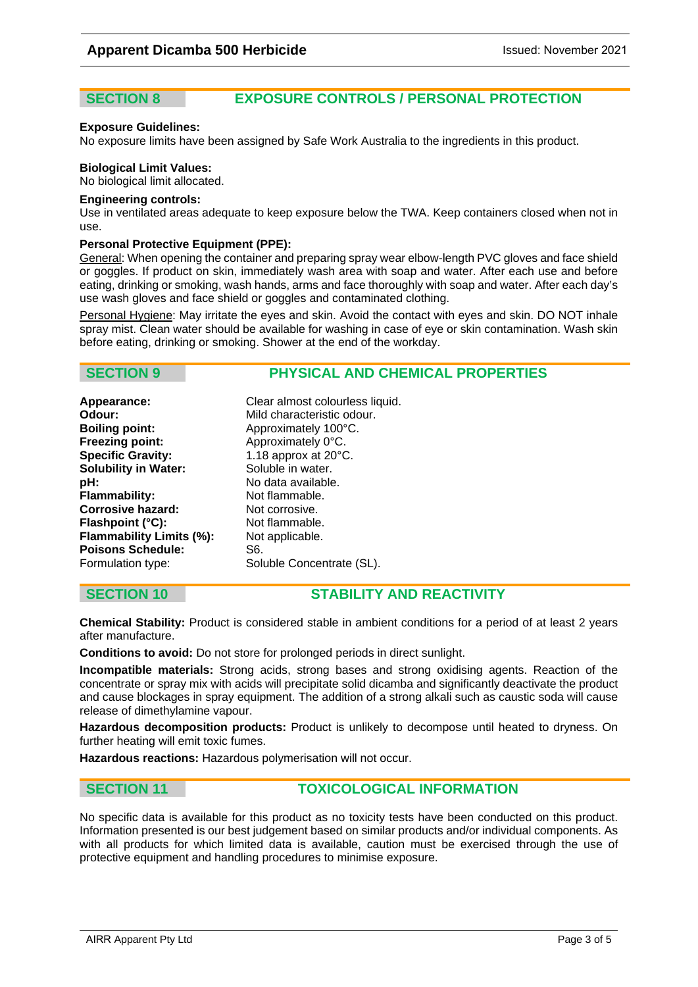### **SECTION 8 EXPOSURE CONTROLS / PERSONAL PROTECTION**

### **Exposure Guidelines:**

No exposure limits have been assigned by Safe Work Australia to the ingredients in this product.

### **Biological Limit Values:**

No biological limit allocated.

### **Engineering controls:**

Use in ventilated areas adequate to keep exposure below the TWA. Keep containers closed when not in use.

### **Personal Protective Equipment (PPE):**

General: When opening the container and preparing spray wear elbow-length PVC gloves and face shield or goggles. If product on skin, immediately wash area with soap and water. After each use and before eating, drinking or smoking, wash hands, arms and face thoroughly with soap and water. After each day's use wash gloves and face shield or goggles and contaminated clothing.

Personal Hygiene: May irritate the eyes and skin. Avoid the contact with eyes and skin. DO NOT inhale spray mist. Clean water should be available for washing in case of eye or skin contamination. Wash skin before eating, drinking or smoking. Shower at the end of the workday.

### **SECTION 9 PHYSICAL AND CHEMICAL PROPERTIES**

**Odour:** Mild characteristic odour.<br> **Boiling point:** Approximately 100°C. **Freezing point:** Approximately 0°C.<br> **Specific Gravity:** 1.18 approx at 20°C **Solubility in Water:** Soluble in water. **pH:** No data available. **Flammability:** Not flammable. **Corrosive hazard:** Not corrosive. **Flashpoint (°C):** Not flammable. **Flammability Limits (%):** Not applicable. **Poisons Schedule:** S6. Formulation type: Soluble Concentrate (SL).

**Appearance:** Clear almost colourless liquid. **Boiling point:** Approximately 100°C. **Specific Gravity:** 1.18 approx at 20°C.

### **SECTION 10 STABILITY AND REACTIVITY**

**Chemical Stability:** Product is considered stable in ambient conditions for a period of at least 2 years after manufacture.

**Conditions to avoid:** Do not store for prolonged periods in direct sunlight.

**Incompatible materials:** Strong acids, strong bases and strong oxidising agents. Reaction of the concentrate or spray mix with acids will precipitate solid dicamba and significantly deactivate the product and cause blockages in spray equipment. The addition of a strong alkali such as caustic soda will cause release of dimethylamine vapour.

**Hazardous decomposition products:** Product is unlikely to decompose until heated to dryness. On further heating will emit toxic fumes.

**Hazardous reactions:** Hazardous polymerisation will not occur.

### **SECTION 11** TOXICOLOGICAL INFORMATION

No specific data is available for this product as no toxicity tests have been conducted on this product. Information presented is our best judgement based on similar products and/or individual components. As with all products for which limited data is available, caution must be exercised through the use of protective equipment and handling procedures to minimise exposure.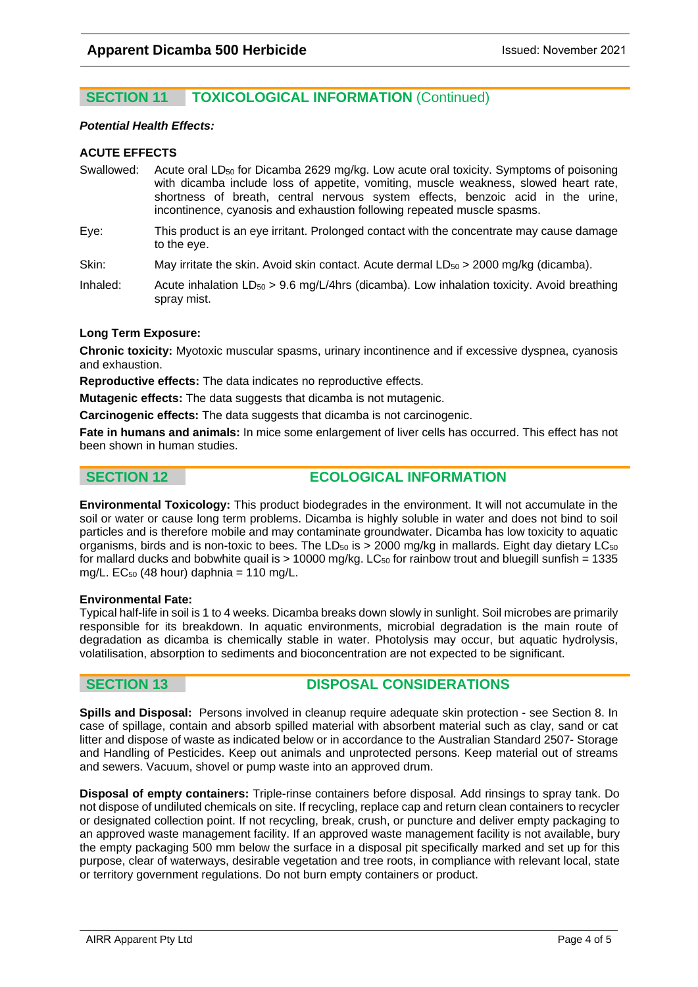### **SECTION 11 TOXICOLOGICAL INFORMATION (Continued)**

### *Potential Health Effects:*

### **ACUTE EFFECTS**

- Swallowed: Acute oral LD<sub>50</sub> for Dicamba 2629 mg/kg. Low acute oral toxicity. Symptoms of poisoning with dicamba include loss of appetite, vomiting, muscle weakness, slowed heart rate, shortness of breath, central nervous system effects, benzoic acid in the urine, incontinence, cyanosis and exhaustion following repeated muscle spasms.
- Eye: This product is an eye irritant. Prolonged contact with the concentrate may cause damage to the eye.
- Skin: May irritate the skin. Avoid skin contact. Acute dermal  $LD_{50}$  > 2000 mg/kg (dicamba).
- Inhaled: Acute inhalation  $LD_{50} > 9.6$  mg/L/4hrs (dicamba). Low inhalation toxicity. Avoid breathing spray mist.

### **Long Term Exposure:**

**Chronic toxicity:** Myotoxic muscular spasms, urinary incontinence and if excessive dyspnea, cyanosis and exhaustion.

**Reproductive effects:** The data indicates no reproductive effects.

**Mutagenic effects:** The data suggests that dicamba is not mutagenic.

**Carcinogenic effects:** The data suggests that dicamba is not carcinogenic.

**Fate in humans and animals:** In mice some enlargement of liver cells has occurred. This effect has not been shown in human studies.

### **SECTION 12 ECOLOGICAL INFORMATION**

**Environmental Toxicology:** This product biodegrades in the environment. It will not accumulate in the soil or water or cause long term problems. Dicamba is highly soluble in water and does not bind to soil particles and is therefore mobile and may contaminate groundwater. Dicamba has low toxicity to aquatic organisms, birds and is non-toxic to bees. The LD<sub>50</sub> is  $> 2000$  mg/kg in mallards. Eight day dietary LC<sub>50</sub> for mallard ducks and bobwhite quail is  $> 10000$  mg/kg. LC<sub>50</sub> for rainbow trout and bluegill sunfish = 1335 mg/L.  $EC_{50}$  (48 hour) daphnia = 110 mg/L.

### **Environmental Fate:**

Typical half-life in soil is 1 to 4 weeks. Dicamba breaks down slowly in sunlight. Soil microbes are primarily responsible for its breakdown. In aquatic environments, microbial degradation is the main route of degradation as dicamba is chemically stable in water. Photolysis may occur, but aquatic hydrolysis, volatilisation, absorption to sediments and bioconcentration are not expected to be significant.

### **SECTION 13 DISPOSAL CONSIDERATIONS**

**Spills and Disposal:** Persons involved in cleanup require adequate skin protection - see Section 8. In case of spillage, contain and absorb spilled material with absorbent material such as clay, sand or cat litter and dispose of waste as indicated below or in accordance to the Australian Standard 2507- Storage and Handling of Pesticides. Keep out animals and unprotected persons. Keep material out of streams and sewers. Vacuum, shovel or pump waste into an approved drum.

**Disposal of empty containers:** Triple-rinse containers before disposal. Add rinsings to spray tank. Do not dispose of undiluted chemicals on site. If recycling, replace cap and return clean containers to recycler or designated collection point. If not recycling, break, crush, or puncture and deliver empty packaging to an approved waste management facility. If an approved waste management facility is not available, bury the empty packaging 500 mm below the surface in a disposal pit specifically marked and set up for this purpose, clear of waterways, desirable vegetation and tree roots, in compliance with relevant local, state or territory government regulations. Do not burn empty containers or product.